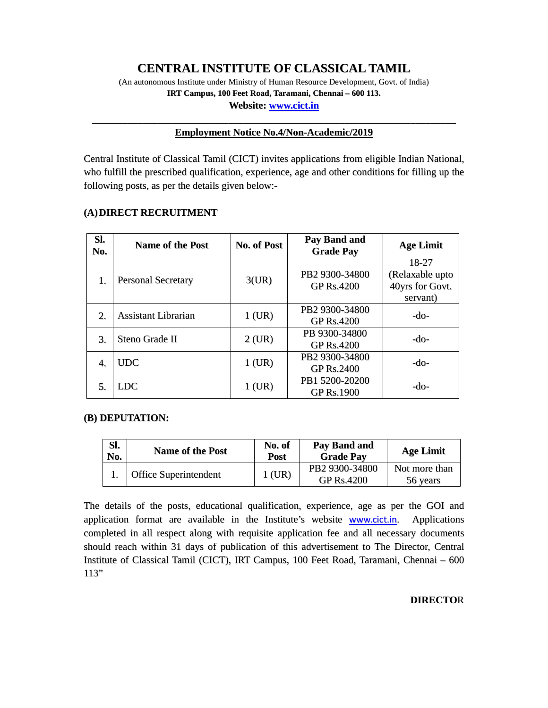# **CENTRAL INSTITUTE OF CLASSICAL TAMIL**

(An autonomous Institute under Ministry of Human Resource Development, Govt. of India) **IRT Campus, 100 Feet Road, Taramani, Chennai – 600 113. Website: www.cict.in**

# **\_\_\_\_\_\_\_\_\_\_\_\_\_\_\_\_\_\_\_\_\_\_\_\_\_\_\_\_\_\_\_\_\_\_\_\_\_\_\_\_\_\_\_\_\_\_\_\_\_\_\_\_\_\_\_\_\_\_\_\_\_\_\_\_\_\_\_\_\_\_\_\_ Employment Notice No.4/Non-Academic/2019**

Central Institute of Classical Tamil (CICT) invites applications from eligible Indian National, who fulfill the prescribed qualification, experience, age and other conditions for filling up the following posts, as per the details given below:-

## **(A)DIRECT RECRUITMENT**

| Sl.<br>No. | <b>Name of the Post</b>   | <b>No. of Post</b> | <b>Pay Band and</b><br><b>Grade Pay</b> | <b>Age Limit</b> |  |
|------------|---------------------------|--------------------|-----------------------------------------|------------------|--|
|            |                           |                    |                                         | 18-27            |  |
| 1.         | <b>Personal Secretary</b> | 3(UR)              | PB2 9300-34800                          | (Relaxable upto  |  |
|            |                           |                    | <b>GP Rs.4200</b>                       | 40yrs for Govt.  |  |
|            |                           |                    |                                         | servant)         |  |
|            | Assistant Librarian       |                    | PB2 9300-34800                          | $-do-$           |  |
| 2.         |                           | $1$ (UR)           | <b>GP Rs.4200</b>                       |                  |  |
|            | Steno Grade II            |                    | PB 9300-34800                           | -do-             |  |
| 3.         |                           | $2$ (UR)           | <b>GP Rs.4200</b>                       |                  |  |
|            | <b>UDC</b>                |                    | PB2 9300-34800                          | -do-             |  |
| 4.         |                           | $1$ (UR)           | <b>GP Rs.2400</b>                       |                  |  |
| 5.         | LDC                       | PB1 5200-20200     |                                         |                  |  |
|            |                           | 1 (UR)             | GP Rs.1900                              | -do-             |  |

## **(B) DEPUTATION:**

| SI.<br>No. | <b>Name of the Post</b>      | No. of<br>Post | Pay Band and<br><b>Grade Pay</b>    | <b>Age Limit</b>          |
|------------|------------------------------|----------------|-------------------------------------|---------------------------|
|            | <b>Office Superintendent</b> | $1$ (UR)       | PB2 9300-34800<br><b>GP Rs.4200</b> | Not more than<br>56 years |

The details of the posts, educational qualification, experience, age as per the GOI and application format are available in the Institute's website www.cict.in. Applications completed in all respect along with requisite application fee and all necessary documents should reach within 31 days of publication of this advertisement to The Director, Central Institute of Classical Tamil (CICT), IRT Campus, 100 Feet Road, Taramani, Chennai – 600 113"

## **DIRECTO**R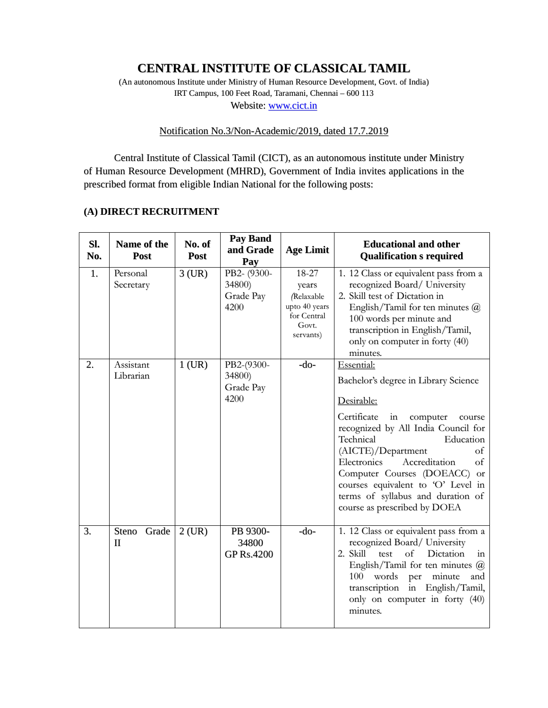# **CENTRAL INSTITUTE OF CLASSICAL TAMIL**

(An autonomous Institute under Ministry of Human Resource Development, Govt. of India) IRT Campus, 100 Feet Road, Taramani, Chennai – 600 113 Website: www.cict.in

# Notification No.3/Non-Academic/2019, dated 17.7.2019

Central Institute of Classical Tamil (CICT), as an autonomous institute under Ministry of Human Resource Development (MHRD), Government of India invites applications in the prescribed format from eligible Indian National for the following posts:

# **(A) DIRECT RECRUITMENT**

| Sl.<br>No. | Name of the<br>Post    | No. of<br>Post | <b>Pay Band</b><br>and Grade<br>Pay        | <b>Age Limit</b>                                                                          | <b>Educational and other</b><br><b>Qualification s required</b>                                                                                                                                                                                                                                                                                                                           |
|------------|------------------------|----------------|--------------------------------------------|-------------------------------------------------------------------------------------------|-------------------------------------------------------------------------------------------------------------------------------------------------------------------------------------------------------------------------------------------------------------------------------------------------------------------------------------------------------------------------------------------|
| 1.         | Personal<br>Secretary  | $3$ (UR)       | PB2- (9300-<br>34800)<br>Grade Pay<br>4200 | 18-27<br>years<br><i>(Relaxable</i><br>upto 40 years<br>for Central<br>Govt.<br>servants) | 1. 12 Class or equivalent pass from a<br>recognized Board/ University<br>2. Skill test of Dictation in<br>English/Tamil for ten minutes $@$<br>100 words per minute and<br>transcription in English/Tamil,<br>only on computer in forty (40)<br>minutes.                                                                                                                                  |
| 2.         | Assistant<br>Librarian | $1$ (UR)       | PB2-(9300-<br>34800)<br>Grade Pay<br>4200  | $-do-$                                                                                    | Essential:<br>Bachelor's degree in Library Science<br>Desirable:<br>Certificate<br>computer<br>in<br>course<br>recognized by All India Council for<br>Technical<br>Education<br>(AICTE)/Department<br>of<br>Accreditation<br>Electronics<br>of<br>Computer Courses (DOEACC) or<br>courses equivalent to 'O' Level in<br>terms of syllabus and duration of<br>course as prescribed by DOEA |
| 3.         | Steno<br>Grade<br>П    | $2$ (UR)       | PB 9300-<br>34800<br><b>GP Rs.4200</b>     | $-do-$                                                                                    | 1. 12 Class or equivalent pass from a<br>recognized Board/ University<br>Dictation<br>2. Skill test<br>of<br>in<br>English/Tamil for ten minutes @<br>words<br>minute<br>100<br>per<br>and<br>transcription in English/Tamil,<br>only on computer in forty (40)<br>minutes.                                                                                                               |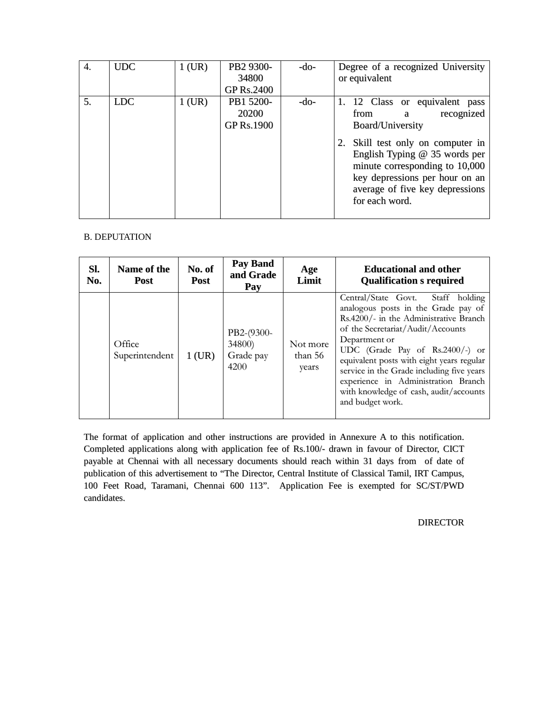| 4. | <b>UDC</b> | $1$ (UR) | PB2 9300-<br>34800<br><b>GP Rs.2400</b> | -do- | Degree of a recognized University<br>or equivalent                                                                                                                                                                                                                                    |
|----|------------|----------|-----------------------------------------|------|---------------------------------------------------------------------------------------------------------------------------------------------------------------------------------------------------------------------------------------------------------------------------------------|
| 5. | <b>LDC</b> | $1$ (UR) | PB1 5200-<br>20200<br><b>GP Rs.1900</b> | -do- | 1. 12 Class or equivalent pass<br>recognized<br>from<br>a<br><b>Board/University</b><br>2. Skill test only on computer in<br>English Typing $@$ 35 words per<br>minute corresponding to 10,000<br>key depressions per hour on an<br>average of five key depressions<br>for each word. |

## B. DEPUTATION

| SI.<br>No. | Name of the<br>Post      | No. of<br>Post | Pay Band<br>and Grade<br>Pay              | Age<br>Limit                 | <b>Educational and other</b><br><b>Qualification s required</b>                                                                                                                                                                                                                                                                                                                                               |
|------------|--------------------------|----------------|-------------------------------------------|------------------------------|---------------------------------------------------------------------------------------------------------------------------------------------------------------------------------------------------------------------------------------------------------------------------------------------------------------------------------------------------------------------------------------------------------------|
|            | Office<br>Superintendent | $1$ (UR)       | PB2-(9300-<br>34800)<br>Grade pay<br>4200 | Not more<br>than 56<br>years | Central/State Govt.<br>Staff holding<br>analogous posts in the Grade pay of<br>Rs.4200/- in the Administrative Branch<br>of the Secretariat/Audit/Accounts<br>Department or<br>UDC (Grade Pay of Rs.2400/-) or<br>equivalent posts with eight years regular<br>service in the Grade including five years<br>experience in Administration Branch<br>with knowledge of cash, audit/accounts<br>and budget work. |

The format of application and other instructions are provided in Annexure A to this notification. Completed applications along with application fee of Rs.100/- drawn in favour of Director, CICT payable at Chennai with all necessary documents should reach within 31 days from of date of publication of this advertisement to "The Director, Central Institute of Classical Tamil, IRT Campus, 100 Feet Road, Taramani, Chennai 600 113". Application Fee is exempted for SC/ST/PWD candidates.

DIRECTOR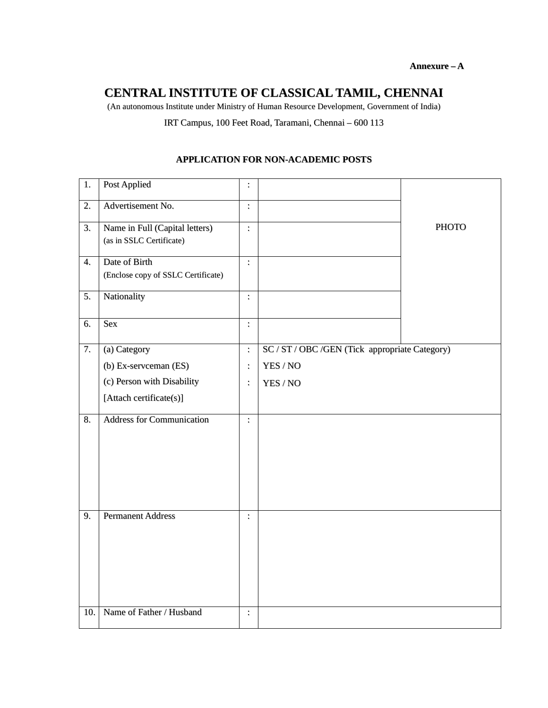# **CENTRAL INSTITUTE OF CLASSICAL TAMIL, CHENNAI**

(An autonomous Institute under Ministry of Human Resource Development, Government of India)

IRT Campus, 100 Feet Road, Taramani, Chennai – 600 113

# 1. Post Applied : PHOTO 2. Advertisement No.  $\vert$ : 3. Name in Full (Capital letters) (as in SSLC Certificate) : 4. Date of Birth (Enclose copy of SSLC Certificate) : 5. Nationality :  $6.$  Sex : 7. (a) Category (b) Ex-servceman (ES) (c) Person with Disability [Attach certificate(s)] : : : SC / ST / OBC /GEN (Tick appropriate Category) YES / NO YES / NO 8. Address for Communication : 9. Permanent Address : 10. Name of Father / Husband :

### **APPLICATION FOR NON-ACADEMIC POSTS**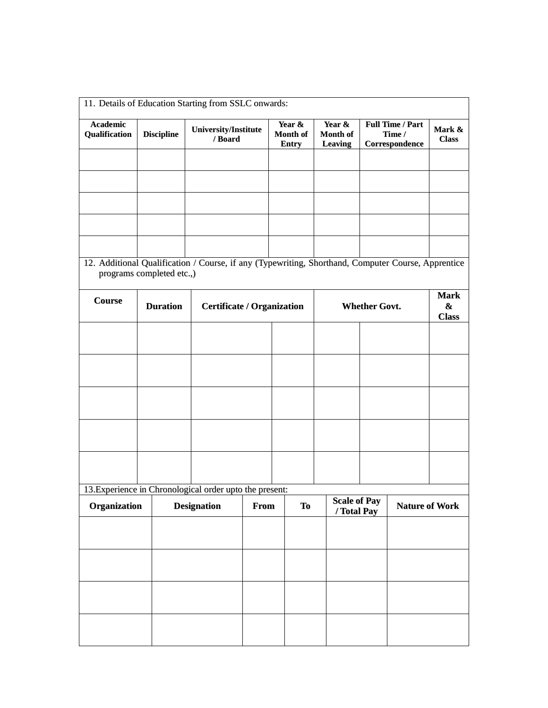| <b>Academic</b><br>Qualification                                                                                                | <b>Discipline</b> | <b>University/Institute</b>       |      | Year &<br>Month of | Year &<br>Month of  |                      | <b>Full Time / Part</b><br>Time / | Mark &            |
|---------------------------------------------------------------------------------------------------------------------------------|-------------------|-----------------------------------|------|--------------------|---------------------|----------------------|-----------------------------------|-------------------|
|                                                                                                                                 |                   | / Board                           |      | <b>Entry</b>       | <b>Leaving</b>      |                      | Correspondence                    | <b>Class</b>      |
|                                                                                                                                 |                   |                                   |      |                    |                     |                      |                                   |                   |
|                                                                                                                                 |                   |                                   |      |                    |                     |                      |                                   |                   |
|                                                                                                                                 |                   |                                   |      |                    |                     |                      |                                   |                   |
|                                                                                                                                 |                   |                                   |      |                    |                     |                      |                                   |                   |
|                                                                                                                                 |                   |                                   |      |                    |                     |                      |                                   |                   |
|                                                                                                                                 |                   |                                   |      |                    |                     |                      |                                   |                   |
|                                                                                                                                 |                   |                                   |      |                    |                     |                      |                                   |                   |
| 12. Additional Qualification / Course, if any (Typewriting, Shorthand, Computer Course, Apprentice<br>programs completed etc.,) |                   |                                   |      |                    |                     |                      |                                   |                   |
|                                                                                                                                 |                   |                                   |      |                    |                     |                      |                                   |                   |
| <b>Course</b>                                                                                                                   | <b>Duration</b>   |                                   |      |                    |                     |                      |                                   | <b>Mark</b>       |
|                                                                                                                                 |                   | <b>Certificate / Organization</b> |      |                    |                     | <b>Whether Govt.</b> |                                   | &<br><b>Class</b> |
|                                                                                                                                 |                   |                                   |      |                    |                     |                      |                                   |                   |
|                                                                                                                                 |                   |                                   |      |                    |                     |                      |                                   |                   |
|                                                                                                                                 |                   |                                   |      |                    |                     |                      |                                   |                   |
|                                                                                                                                 |                   |                                   |      |                    |                     |                      |                                   |                   |
|                                                                                                                                 |                   |                                   |      |                    |                     |                      |                                   |                   |
|                                                                                                                                 |                   |                                   |      |                    |                     |                      |                                   |                   |
|                                                                                                                                 |                   |                                   |      |                    |                     |                      |                                   |                   |
|                                                                                                                                 |                   |                                   |      |                    |                     |                      |                                   |                   |
|                                                                                                                                 |                   |                                   |      |                    |                     |                      |                                   |                   |
|                                                                                                                                 |                   |                                   |      |                    |                     |                      |                                   |                   |
| 13. Experience in Chronological order upto the present:                                                                         |                   |                                   |      |                    |                     |                      |                                   |                   |
| Organization                                                                                                                    |                   | <b>Designation</b>                | From | <b>To</b>          | <b>Scale of Pay</b> |                      | <b>Nature of Work</b>             |                   |
|                                                                                                                                 |                   |                                   |      |                    | / Total Pay         |                      |                                   |                   |
|                                                                                                                                 |                   |                                   |      |                    |                     |                      |                                   |                   |
|                                                                                                                                 |                   |                                   |      |                    |                     |                      |                                   |                   |
|                                                                                                                                 |                   |                                   |      |                    |                     |                      |                                   |                   |
|                                                                                                                                 |                   |                                   |      |                    |                     |                      |                                   |                   |
|                                                                                                                                 |                   |                                   |      |                    |                     |                      |                                   |                   |
|                                                                                                                                 |                   |                                   |      |                    |                     |                      |                                   |                   |
|                                                                                                                                 |                   |                                   |      |                    |                     |                      |                                   |                   |
|                                                                                                                                 |                   |                                   |      |                    |                     |                      |                                   |                   |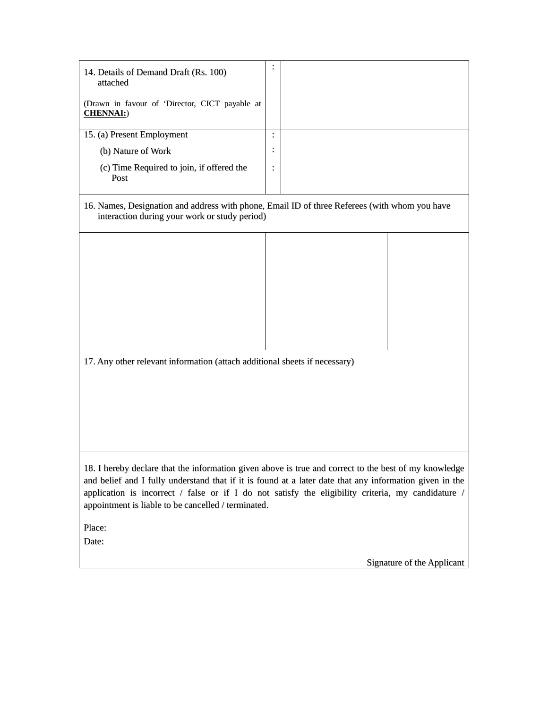| 14. Details of Demand Draft (Rs. 100)<br>attached                                                                                                                                                                                                                                                                                                                                 |                |  |
|-----------------------------------------------------------------------------------------------------------------------------------------------------------------------------------------------------------------------------------------------------------------------------------------------------------------------------------------------------------------------------------|----------------|--|
| (Drawn in favour of 'Director, CICT payable at<br><b>CHENNAI:</b> )                                                                                                                                                                                                                                                                                                               |                |  |
| 15. (a) Present Employment                                                                                                                                                                                                                                                                                                                                                        |                |  |
| (b) Nature of Work                                                                                                                                                                                                                                                                                                                                                                |                |  |
| (c) Time Required to join, if offered the<br>Post                                                                                                                                                                                                                                                                                                                                 | $\ddot{\cdot}$ |  |
| 16. Names, Designation and address with phone, Email ID of three Referees (with whom you have<br>interaction during your work or study period)                                                                                                                                                                                                                                    |                |  |
|                                                                                                                                                                                                                                                                                                                                                                                   |                |  |
|                                                                                                                                                                                                                                                                                                                                                                                   |                |  |
|                                                                                                                                                                                                                                                                                                                                                                                   |                |  |
|                                                                                                                                                                                                                                                                                                                                                                                   |                |  |
|                                                                                                                                                                                                                                                                                                                                                                                   |                |  |
|                                                                                                                                                                                                                                                                                                                                                                                   |                |  |
|                                                                                                                                                                                                                                                                                                                                                                                   |                |  |
| 17. Any other relevant information (attach additional sheets if necessary)                                                                                                                                                                                                                                                                                                        |                |  |
|                                                                                                                                                                                                                                                                                                                                                                                   |                |  |
|                                                                                                                                                                                                                                                                                                                                                                                   |                |  |
|                                                                                                                                                                                                                                                                                                                                                                                   |                |  |
|                                                                                                                                                                                                                                                                                                                                                                                   |                |  |
|                                                                                                                                                                                                                                                                                                                                                                                   |                |  |
| 18. I hereby declare that the information given above is true and correct to the best of my knowledge<br>and belief and I fully understand that if it is found at a later date that any information given in the<br>application is incorrect $/$ false or if I do not satisfy the eligibility criteria, my candidature $/$<br>appointment is liable to be cancelled / terminated. |                |  |
| Place:                                                                                                                                                                                                                                                                                                                                                                            |                |  |

Date:

Signature of the Applicant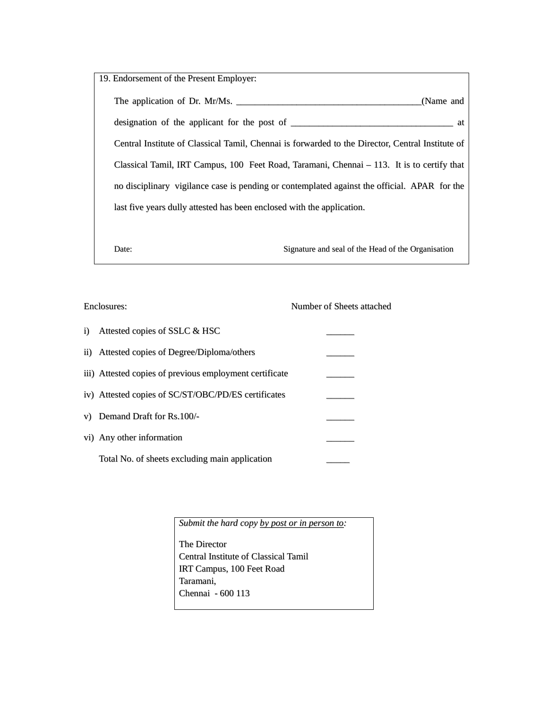| 19. Endorsement of the Present Employer:                                                         |           |
|--------------------------------------------------------------------------------------------------|-----------|
| The application of Dr. Mr/Ms.                                                                    | (Name and |
|                                                                                                  |           |
| Central Institute of Classical Tamil, Chennai is forwarded to the Director, Central Institute of |           |
| Classical Tamil, IRT Campus, 100 Feet Road, Taramani, Chennai – 113. It is to certify that       |           |
| no disciplinary vigilance case is pending or contemplated against the official. APAR for the     |           |
| last five years dully attested has been enclosed with the application.                           |           |
|                                                                                                  |           |
|                                                                                                  |           |

Date: Signature and seal of the Head of the Organisation

|            | Enclosures:                                             | Number of Sheets attached |
|------------|---------------------------------------------------------|---------------------------|
| $\ddot{1}$ | Attested copies of SSLC & HSC                           |                           |
|            | ii) Attested copies of Degree/Diploma/others            |                           |
|            | iii) Attested copies of previous employment certificate |                           |
|            | iv) Attested copies of SC/ST/OBC/PD/ES certificates     |                           |
|            | v) Demand Draft for Rs.100/-                            |                           |
|            | vi) Any other information                               |                           |
|            | Total No. of sheets excluding main application          |                           |

*Submit the hard copy by post or in person to:*

The Director Central Institute of Classical Tamil IRT Campus, 100 Feet Road Taramani, Chennai - 600 113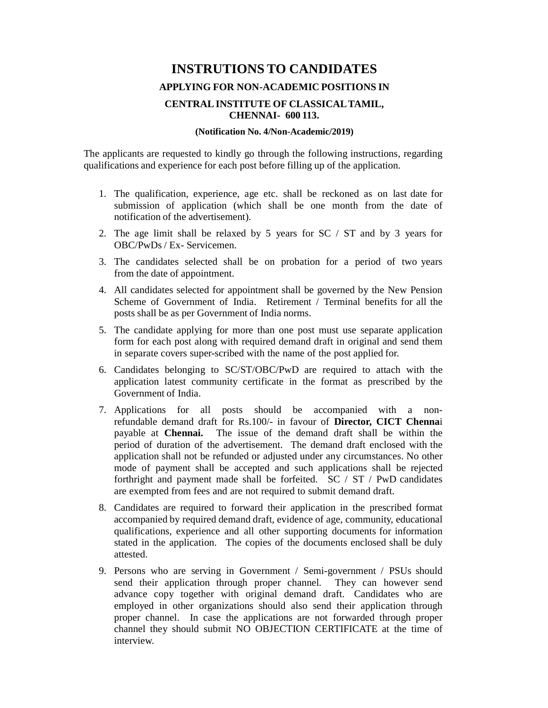# **INSTRUTIONS TO CANDIDATES APPLYING FOR NON-ACADEMIC POSITIONS IN CENTRAL INSTITUTE OF CLASSICAL TAMIL, CHENNAI- 600 113.**

#### **(Notification No. 4/Non-Academic/2019)**

The applicants are requested to kindly go through the following instructions, regarding qualifications and experience for each post before filling up of the application.

- 1. The qualification, experience, age etc. shall be reckoned as on last date for submission of application (which shall be one month from the date of notification of the advertisement).
- 2. The age limit shall be relaxed by 5 years for SC / ST and by 3 years for OBC/PwDs / Ex- Servicemen.
- 3. The candidates selected shall be on probation for a period of two years from the date of appointment.
- 4. All candidates selected for appointment shall be governed by the New Pension Scheme of Government of India. Retirement / Terminal benefits for all the posts shall be as per Government of India norms.
- 5. The candidate applying for more than one post must use separate application form for each post along with required demand draft in original and send them in separate covers super-scribed with the name of the post applied for.
- 6. Candidates belonging to SC/ST/OBC/PwD are required to attach with the application latest community certificate in the format as prescribed by the Government of India.
- 7. Applications for all posts should be accompanied with a nonrefundable demand draft for Rs.100/- in favour of **Director, CICT Chenna**i payable at **Chennai.** The issue of the demand draft shall be within the period of duration of the advertisement. The demand draft enclosed with the application shall not be refunded or adjusted under any circumstances. No other mode of payment shall be accepted and such applications shall be rejected forthright and payment made shall be forfeited. SC / ST / PwD candidates are exempted from fees and are not required to submit demand draft.
- 8. Candidates are required to forward their application in the prescribed format accompanied by required demand draft, evidence of age, community, educational qualifications, experience and all other supporting documents for information stated in the application. The copies of the documents enclosed shall be duly attested.
- 9. Persons who are serving in Government / Semi-government / PSUs should send their application through proper channel. They can however send advance copy together with original demand draft. Candidates who are employed in other organizations should also send their application through proper channel. In case the applications are not forwarded through proper channel they should submit NO OBJECTION CERTIFICATE at the time of interview.